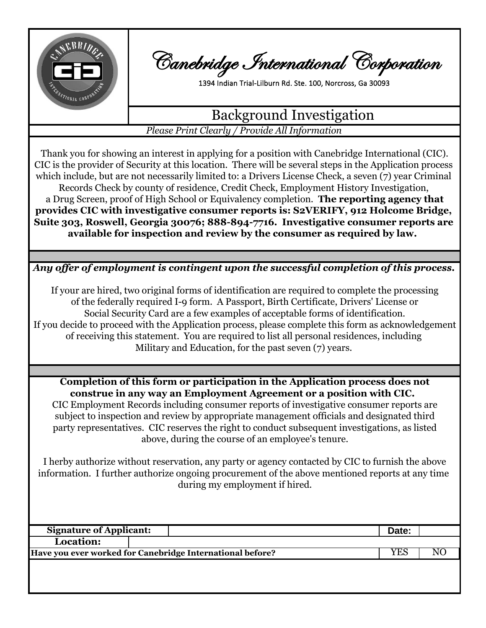

Canebridge International Corporation

1394 Indian Trial-Lilburn Rd. Ste. 100, Norcross, Ga 30093

## Background Investigation

*Please Print Clearly / Provide All Information*

Records Check by county of residence, Credit Check, Employment History Investigation, **Suite 303, Roswell, Georgia 30076; 888-894-7716. Investigative consumer reports are available for inspection and review by the consumer as required by law.**  Thank you for showing an interest in applying for a position with Canebridge International (CIC). CIC is the provider of Security at this location. There will be several steps in the Application process which include, but are not necessarily limited to: a Drivers License Check, a seven (7) year Criminal a Drug Screen, proof of High School or Equivalency completion. **The reporting agency that provides CIC with investigative consumer reports is: S2VERIFY, 912 Holcome Bridge,** 

*Any offer of employment is contingent upon the successful completion of this process.*

If you decide to proceed with the Application process, please complete this form as acknowledgement of receiving this statement. You are required to list all personal residences, including Military and Education, for the past seven (7) years. Social Security Card are a few examples of acceptable forms of identification. If your are hired, two original forms of identification are required to complete the processing of the federally required I-9 form. A Passport, Birth Certificate, Drivers' License or

**Completion of this form or participation in the Application process does not construe in any way an Employment Agreement or a position with CIC.**  CIC Employment Records including consumer reports of investigative consumer reports are subject to inspection and review by appropriate management officials and designated third party representatives. CIC reserves the right to conduct subsequent investigations, as listed above, during the course of an employee's tenure.

during my employment if hired. information. I further authorize ongoing procurement of the above mentioned reports at any time I herby authorize without reservation, any party or agency contacted by CIC to furnish the above

| <b>Signature of Applicant:</b>                            |  |      | Date: |  |
|-----------------------------------------------------------|--|------|-------|--|
| Location:                                                 |  |      |       |  |
| Have you ever worked for Canebridge International before? |  | YES. |       |  |
|                                                           |  |      |       |  |
|                                                           |  |      |       |  |
|                                                           |  |      |       |  |